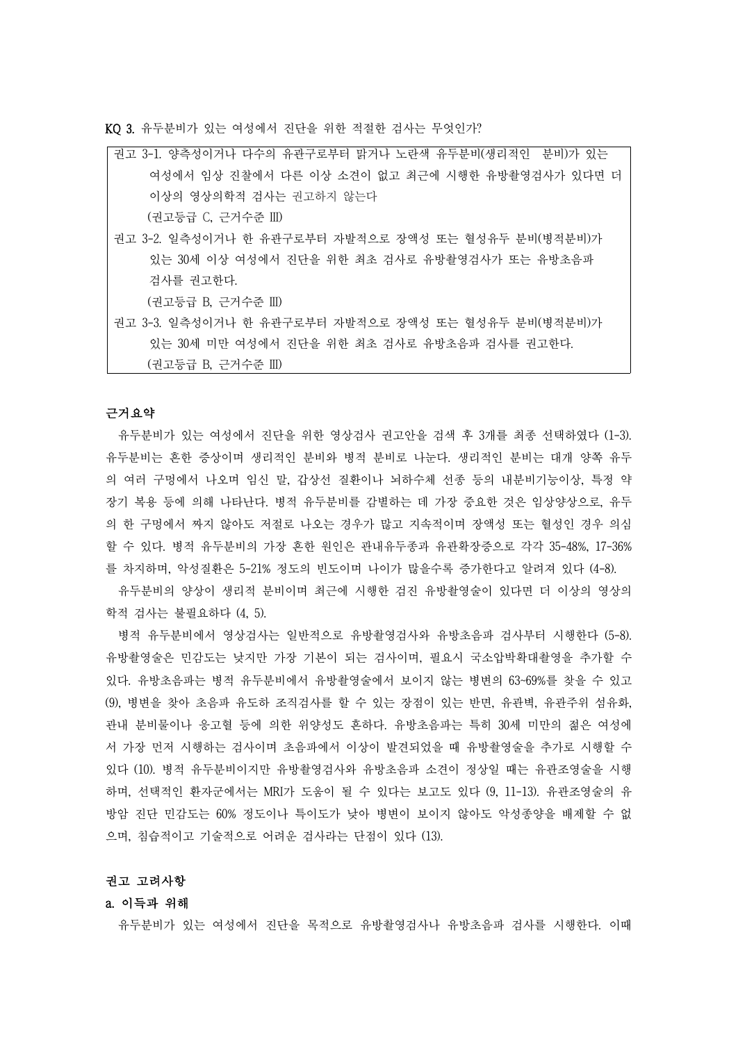KQ 3. 유두분비가 있는 여성에서 진단을 위한 적절한 검사는 무엇인가?

권고 3-1. 양측성이거나 다수의 유관구로부터 맑거나 노란색 유두분비(생리적인 분비)가 있는 여성에서 임상 진찰에서 다른 이상 소견이 없고 최근에 시행한 유방촬영검사가 있다면 더 이상의 영상의학적 검사는 권고하지 않는다

(권고등급 C, 근거수준 III)

권고 3-2. 일측성이거나 한 유관구로부터 자발적으로 장액성 또는 혈성유두 분비(병적분비)가 있는 30세 이상 여성에서 진단을 위한 최초 검사로 유방촬영검사가 또는 유방초음파 검사를 권고한다.

(권고등급 B, 근거수준 III)

권고 3-3. 일측성이거나 한 유관구로부터 자발적으로 장액성 또는 혈성유두 분비(병적분비)가 있는 30세 미만 여성에서 진단을 위한 최초 검사로 유방초음파 검사를 권고한다. (권고등급 B, 근거수준 III)

## 근거요약

유두분비가 있는 여성에서 진단을 위한 영상검사 권고안을 검색 후 3개를 최종 선택하였다 (1-3). 유두분비는 흔한 증상이며 생리적인 분비와 병적 분비로 나눈다. 생리적인 분비는 대개 양쪽 유두 의 여러 구멍에서 나오며 임신 말, 갑상선 질환이나 뇌하수체 선종 등의 내분비기능이상, 특정 약 장기 복용 등에 의해 나타난다. 병적 유두분비를 감별하는 데 가장 중요한 것은 임상양상으로, 유두 의 한 구멍에서 짜지 않아도 저절로 나오는 경우가 많고 지속적이며 장액성 또는 혈성인 경우 의심 할 수 있다. 병적 유두분비의 가장 흔한 원인은 관내유두종과 유관확장증으로 각각 35-48%, 17-36% 를 차지하며, 악성질환은 5-21% 정도의 빈도이며 나이가 많을수록 증가한다고 알려져 있다 (4-8).

유두분비의 양상이 생리적 분비이며 최근에 시행한 검진 유방촬영술이 있다면 더 이상의 영상의 학적 검사는 불필요하다 (4, 5).

병적 유두분비에서 영상검사는 일반적으로 유방촬영검사와 유방초음파 검사부터 시행한다 (5-8). 유방촬영술은 민감도는 낮지만 가장 기본이 되는 검사이며, 필요시 국소압박확대촬영을 추가할 수 있다. 유방초음파는 병적 유두분비에서 유방촬영술에서 보이지 않는 병변의 63~69%를 찾을 수 있고 (9), 병변을 찾아 초음파 유도하 조직검사를 할 수 있는 장점이 있는 반면, 유관벽, 유관주위 섬유화,<br>관내 분비물이나 응고혈 등에 의한 위양성도 흔하다. 유방초음파는 특히 30세 미만의 젊은 여성에 서 가장 먼저 시행하는 검사이며 초음파에서 이상이 발견되었을 때 유방촬영술을 추가로 시행할 수 있다 (10). 병적 유두분비이지만 유방촬영검사와 유방초음파 소견이 정상일 때는 유관조영술을 시행 하며, 선택적인 환자군에서는 MRI가 도움이 될 수 있다는 보고도 있다 (9, 11-13). 유관조영술의 유 방암 진단 민감도는 60% 정도이나 특이도가 낮아 병변이 보이지 않아도 악성종양을 배제할 수 없 으며, 침습적이고 기술적으로 어려운 검사라는 단점이 있다 (13).

#### 권고 고려사항

#### a. 이득과 위해

유두분비가 있는 여성에서 진단을 목적으로 유방촬영검사나 유방초음파 검사를 시행한다. 이때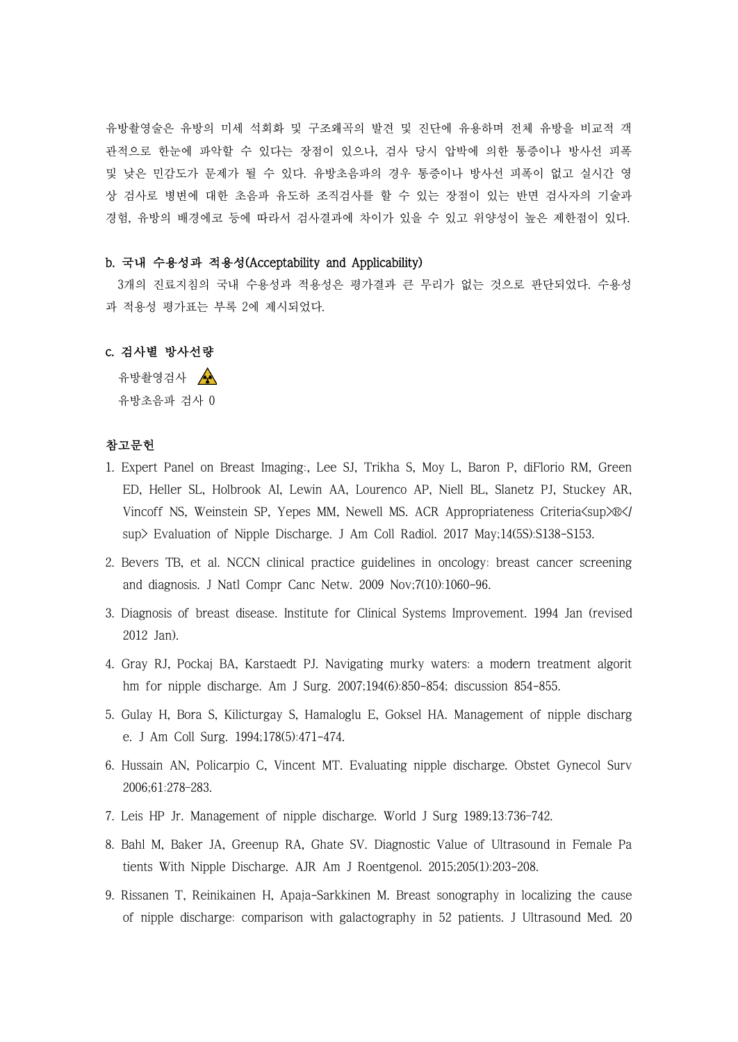유방촬영술은 유방의 미세 석회화 및 구조왜곡의 발견 및 진단에 유용하며 전체 유방을 비교적 객 관적으로 한눈에 파악할 수 있다는 장점이 있으나, 검사 당시 압박에 의한 통증이나 방사선 피폭 및 낮은 민감도가 문제가 될 수 있다. 유방초음파의 경우 통증이나 방사선 피폭이 없고 실시간 영 상 검사로 병변에 대한 초음파 유도하 조직검사를 할 수 있는 장점이 있는 반면 검사자의 기술과 경험, 유방의 배경에코 등에 따라서 검사결과에 차이가 있을 수 있고 위양성이 높은 제한점이 있다.

## b. 국내 수용성과 적용성(Acceptability and Applicability)

3개의 진료지침의 국내 수용성과 적용성은 평가결과 큰 무리가 없는 것으로 판단되었다. 수용성 과 적용성 평가표는 부록 2에 제시되었다.

# c. 검사별 방사선량

유방촬영검사 ▲ 유방초음파 검사 0

#### 참고문헌

- 1. Expert Panel on Breast Imaging:, Lee SJ, Trikha S, Moy L, Baron P, diFlorio RM, Green ED, Heller SL, Holbrook AI, Lewin AA, Lourenco AP, Niell BL, Slanetz PJ, Stuckey AR, Vincoff NS, Weinstein SP, Yepes MM, Newell MS. ACR Appropriateness Criteria $\langle$ sup $\rangle\mathbb{R}\langle$ sup> Evaluation of Nipple Discharge. J Am Coll Radiol. 2017 May;14(5S):S138-S153.
- 2. Bevers TB, et al. NCCN clinical practice guidelines in oncology: breast cancer screening and diagnosis. J Natl Compr Canc Netw. 2009 Nov;7(10):1060-96.
- 3. Diagnosis of breast disease. Institute for Clinical Systems Improvement. 1994 Jan (revised 2012 Jan).
- 4. Gray RJ, Pockaj BA, Karstaedt PJ. Navigating murky waters: a modern treatment algorit hm for nipple discharge. Am J Surg. 2007;194(6):850-854; discussion 854-855.
- 5. Gulay H, Bora S, Kilicturgay S, Hamaloglu E, Goksel HA. Management of nipple discharg e. J Am Coll Surg. 1994;178(5):471-474.
- 6. Hussain AN, Policarpio C, Vincent MT. Evaluating nipple discharge. Obstet Gynecol Surv 2006;61:278–283.
- 7. Leis HP Jr. Management of nipple discharge. World J Surg 1989;13:736–742.
- 8. Bahl M, Baker JA, Greenup RA, Ghate SV. Diagnostic Value of Ultrasound in Female Pa tients With Nipple Discharge. AJR Am J Roentgenol. 2015;205(1):203-208.
- 9. Rissanen T, Reinikainen H, Apaja-Sarkkinen M. Breast sonography in localizing the cause of nipple discharge: comparison with galactography in 52 patients. J Ultrasound Med. 20